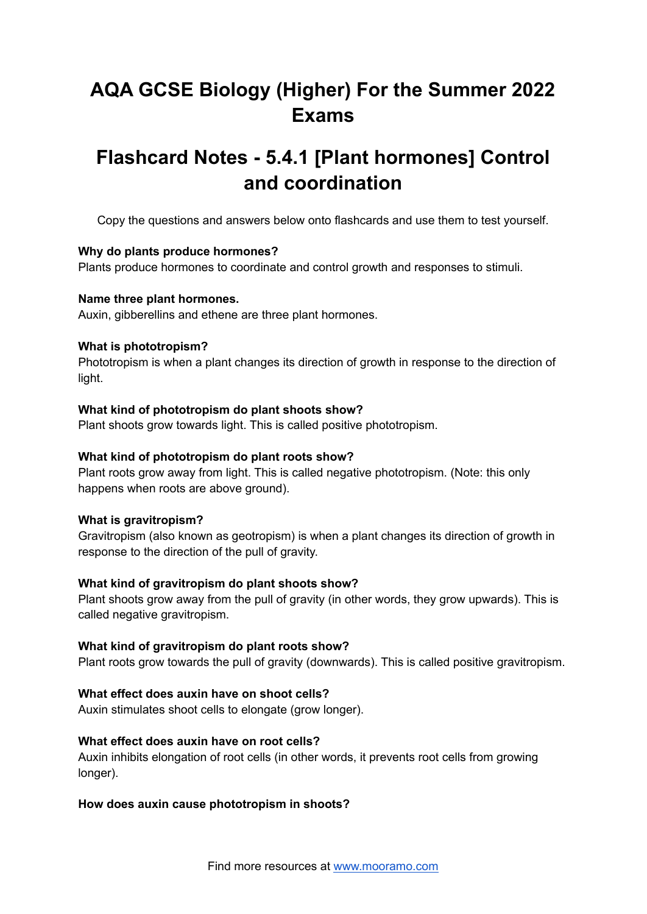# **AQA GCSE Biology (Higher) For the Summer 2022 Exams**

# **Flashcard Notes - 5.4.1 [Plant hormones] Control and coordination**

Copy the questions and answers below onto flashcards and use them to test yourself.

# **Why do plants produce hormones?**

Plants produce hormones to coordinate and control growth and responses to stimuli.

# **Name three plant hormones.**

Auxin, gibberellins and ethene are three plant hormones.

# **What is phototropism?**

Phototropism is when a plant changes its direction of growth in response to the direction of light.

# **What kind of phototropism do plant shoots show?**

Plant shoots grow towards light. This is called positive phototropism.

### **What kind of phototropism do plant roots show?**

Plant roots grow away from light. This is called negative phototropism. (Note: this only happens when roots are above ground).

#### **What is gravitropism?**

Gravitropism (also known as geotropism) is when a plant changes its direction of growth in response to the direction of the pull of gravity.

# **What kind of gravitropism do plant shoots show?**

Plant shoots grow away from the pull of gravity (in other words, they grow upwards). This is called negative gravitropism.

#### **What kind of gravitropism do plant roots show?**

Plant roots grow towards the pull of gravity (downwards). This is called positive gravitropism.

# **What effect does auxin have on shoot cells?**

Auxin stimulates shoot cells to elongate (grow longer).

#### **What effect does auxin have on root cells?**

Auxin inhibits elongation of root cells (in other words, it prevents root cells from growing longer).

# **How does auxin cause phototropism in shoots?**